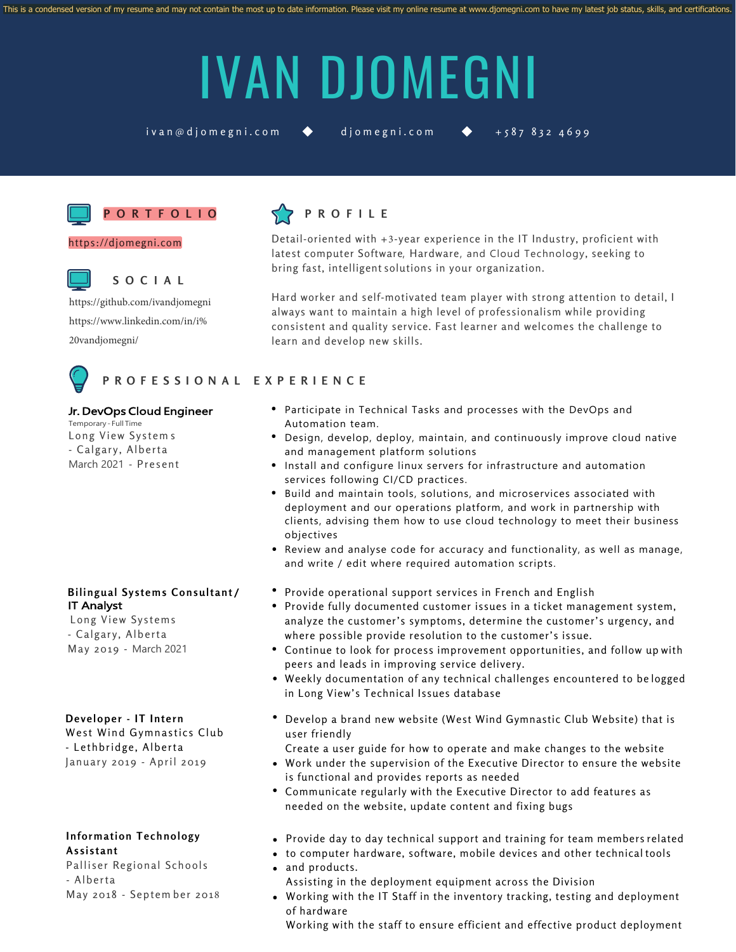# IVAN DJOMEGNI

 $iv$  an @ d j o m egni.com  $\bullet$  d j o m egni.com  $\bullet$  + 587 832 4699



## **P O R T F O L I O**

https://djomegni.com



#### **S O C I A L**

https://github.com/ivandjomegni [https://www.linkedin.com/in/i%](https://github.com/ivandjomegni) [20vandjomegni/](https://www.linkedin.com/in/ivan-djomegni-662219139/)



## **P R O F E S S I O N A L E X P E R I E N C E**

#### Jr. DevOps Cloud Engineer

Temporary - Full Time Long View Systems - Calgary, Alberta March 2021 - Present

#### **Bilingual Systems Consultant/** IT Analyst

Long View Systems - Calgary, Alberta May 2019 - March 2021

## Developer - IT Intern

West Wind Gymnastics Club - Lethbridge, Alberta January 2019 - April 2019

## **Information Technology A s s i s t a n t**

Palliser Regional Schools - Alberta May 2018 - Septem ber 2018



Detail-oriented with +3-year experience in the IT Industry, proficient with latest computer Software, Hardware, and Cloud Technology, seeking to bring fast, intelligent solutions in your organization.

Hard worker and self-motivated team player with strong attention to detail, I always want to maintain a high level of professionalism while providing consistent and quality service. Fast learner and welcomes the challenge to learn and develop new skills.

#### Participate in Technical Tasks and processes with the DevOps and Automation team.

- Design, develop, deploy, maintain, and continuously improve cloud native and management platform solutions
- Install and configure linux servers for infrastructure and automation services following CI/CD practices.
- Build and maintain tools, solutions, and microservices associated with deployment and our operations platform, and work in partnership with clients, advising them how to use cloud technology to meet their business objectives
- Review and analyse code for accuracy and functionality, as well as manage, and write / edit where required automation scripts.
- Provide operational support services in French and English
- Provide fully documented customer issues in a ticket management system, analyze the customer's symptoms, determine the customer's urgency, and where possible provide resolution to the customer's issue.
- Continue to look for process improvement opportunities, and follow up with peers and leads in improving service delivery.
- Weekly documentation of any technical challenges encountered to be logged in Long View's Technical Issues database
- Develop a brand new website (West Wind Gymnastic Club Website) that is user friendly
- Create a user guide for how to operate and make changes to the website
- Work under the supervision of the Executive Director to ensure the website is functional and provides reports as needed
- Communicate regularly with the Executive Director to add features as needed on the website, update content and fixing bugs
- Provide day to day technical support and training for team members related
- to computer hardware, software, mobile devices and other technical tools and products.
- Assisting in the deployment equipment across the Division
- Working with the IT Staff in the inventory tracking, testing and deployment of hardware

Working with the staff to ensure efficient and effective product deployment